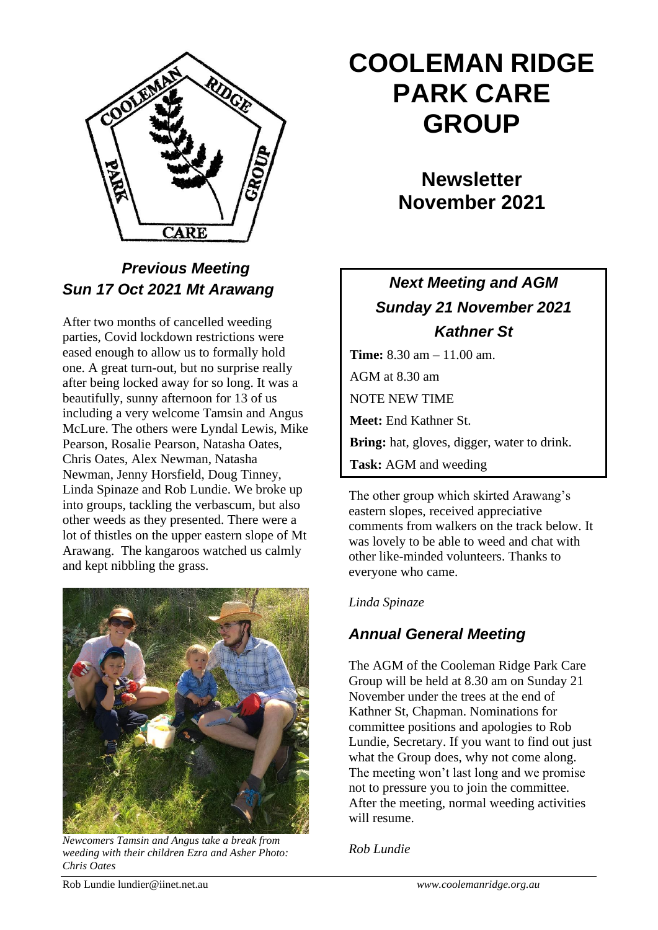

# *Previous Meeting Sun 17 Oct 2021 Mt Arawang*

After two months of cancelled weeding parties, Covid lockdown restrictions were eased enough to allow us to formally hold one. A great turn-out, but no surprise really after being locked away for so long. It was a beautifully, sunny afternoon for 13 of us including a very welcome Tamsin and Angus McLure. The others were Lyndal Lewis, Mike Pearson, Rosalie Pearson, Natasha Oates, Chris Oates, Alex Newman, Natasha Newman, Jenny Horsfield, Doug Tinney, Linda Spinaze and Rob Lundie. We broke up into groups, tackling the verbascum, but also other weeds as they presented. There were a lot of thistles on the upper eastern slope of Mt Arawang. The kangaroos watched us calmly and kept nibbling the grass.



*Newcomers Tamsin and Angus take a break from weeding with their children Ezra and Asher Photo: Chris Oates*

# **COOLEMAN RIDGE PARK CARE GROUP**

**Newsletter November 2021** 

# *Next Meeting and AGM Sunday 21 November 2021 Kathner St*

**Time:** 8.30 am – 11.00 am. AGM at 8.30 am NOTE NEW TIME **Meet:** End Kathner St. **Bring:** hat, gloves, digger, water to drink. **Task:** AGM and weeding

The other group which skirted Arawang's eastern slopes, received appreciative comments from walkers on the track below. It was lovely to be able to weed and chat with other like-minded volunteers. Thanks to everyone who came. **Contact:** Linda Spinaze 6288 6916

#### *Linda Spinaze*

# *Annual General Meeting*

The AGM of the Cooleman Ridge Park Care Group will be held at 8.30 am on Sunday 21 November under the trees at the end of Kathner St, Chapman. Nominations for committee positions and apologies to Rob Lundie, Secretary. If you want to find out just what the Group does, why not come along. The meeting won't last long and we promise not to pressure you to join the committee. After the meeting, normal weeding activities will resume.

*Rob Lundie*